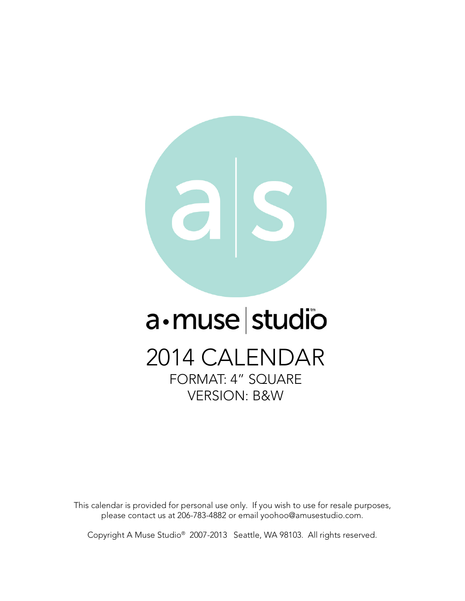

# a·muse studio

2014 CALENDAR FORMAT: 4" SQUARE VERSION: B&W

This calendar is provided for personal use only. If you wish to use for resale purposes, please contact us at 206-783-4882 or email yoohoo@amusestudio.com.

Copyright A Muse Studio® 2007-2013 Seattle, WA 98103. All rights reserved.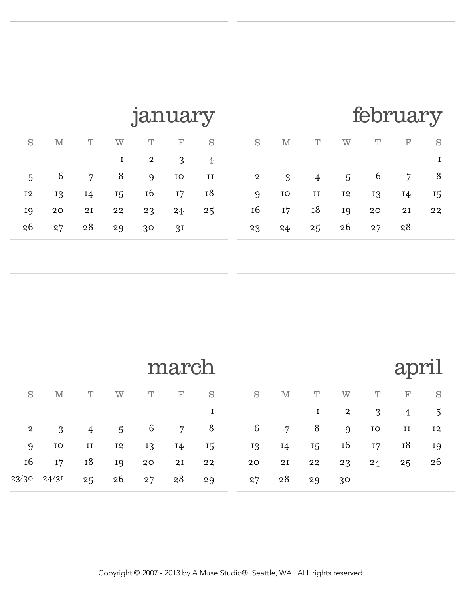|                |              |         |           | february |            |    |
|----------------|--------------|---------|-----------|----------|------------|----|
| S              | $\mathbf{M}$ | Τ       | Ŵ         | Ͳ        | $_{\rm F}$ | S  |
|                |              |         |           |          |            | I  |
| $\overline{a}$ | 3            | 4       | 5         | 6        | 7          | 8  |
| 9              | IO           | $_{II}$ | <b>I2</b> | 13       | 14         | 15 |
| I <sub>6</sub> | I7           | 18      | 19        | 20       | 2I         | 22 |
| 23             | 24           | 25      | 26        | 27       | 28         |    |

## january

| S  | $\mathbf M$ | Т  | W  | Τ             | $_{\rm F}$     | S  |
|----|-------------|----|----|---------------|----------------|----|
|    |             |    | 1  | 2             | 3              | 4  |
| 5  | 6           | 7  | 8  | 9             | IO             | и  |
| 12 | 13          | 14 | 15 | <sup>16</sup> | I7             | 18 |
| 19 | 20          | 2I | 22 | 23            | 24             | 25 |
| 26 | 27          | 28 | 29 | 30            | 3 <sup>I</sup> |    |

|             |             |                |             |             | march           |             |         |                |             |                |             | april          |             |
|-------------|-------------|----------------|-------------|-------------|-----------------|-------------|---------|----------------|-------------|----------------|-------------|----------------|-------------|
| $\mathbf S$ | $\mathbb M$ | $\mathbf T$    | W           | $\mathbf T$ | $\mathbf F$     | $\mathbf S$ | S       | $\mathbb M$    | $\mathbf T$ | W              | $\mathbf T$ | $\mathbb{F}$   | $\mathbf S$ |
|             |             |                |             |             |                 | $\mathbf I$ |         |                | $\mathbf I$ | $\,2\,$        | 3           | $\overline{4}$ | $\sqrt{5}$  |
| $\,2\,$     | 3           | $\overline{4}$ | $\sqrt{5}$  | $\,6\,$     | $\overline{7}$  | $\, 8$      | $\,6\,$ | $\overline{7}$ | $\,8\,$     | 9              | ${\rm IO}$  | $\rm II$       | $\rm I2$    |
| 9           | ${\rm IO}$  | $\rm II$       | $^{\rm I2}$ | 13          | 14              | 15          | 13      | 14             | 15          | 16             | 17          | $^{\rm I8}$    | 19          |
| 16          | 17          | 18             | 19          | 20          | $2\,\mathrm{I}$ | $\bf{22}$   | $20\,$  | $2\mathrm{I}$  | ${\bf 22}$  | 23             | 24          | 25             | $26\,$      |
| 23/30       | 24/31       | 25             | 26          | 27          | $28$            | $\bf 29$    | 27      | $\rm 28$       | 29          | 3 <sup>o</sup> |             |                |             |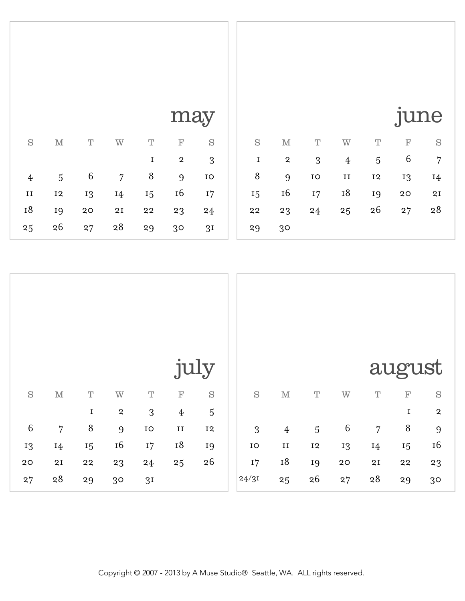|    |                         |    |         |                | <b>June</b> |    |
|----|-------------------------|----|---------|----------------|-------------|----|
| S  | $\mathbf{M}$            | T  | W       | T              | F           | S  |
| I  | $\overline{\mathbf{2}}$ | 3  | 4       | 5              | 6           | 7  |
| 8  | 9                       | IO | $_{II}$ | I <sub>2</sub> | 13          | 14 |
| 15 | <sup>16</sup>           | I7 | 18      | 19             | 20          | 2I |
| 22 | 23                      | 24 | 25      | 26             | 27          | 28 |
| 29 | 30                      |    |         |                |             |    |

| $\lceil$ $\rceil$<br>∕″<br>۱. |
|-------------------------------|
|-------------------------------|

|         |              |    |    |    | $   \sim$ $\,$ $\,$     |                |
|---------|--------------|----|----|----|-------------------------|----------------|
| S       | $\mathbf{M}$ | Τ  | W  | Т  | $_{\rm F}$              | S              |
|         |              |    |    | 1  | $\overline{\mathbf{2}}$ | 3              |
| 4       | 5            | 6  | 7  | 8  | 9                       | IO             |
| $_{II}$ | 12           | 13 | 14 | 15 | 16                      | 17             |
| 18      | 19           | 20 | 2I | 22 | 23                      | 24             |
| 25      | 26           | 27 | 28 | 29 | 30                      | 3 <sub>I</sub> |

|             |                |             |                |                |                  | july        |             |                |                |              |                 | august       |                |
|-------------|----------------|-------------|----------------|----------------|------------------|-------------|-------------|----------------|----------------|--------------|-----------------|--------------|----------------|
| $\mathbf S$ | $\mathbb M$    | $\mathbf T$ | $\mbox{W}$     | $\mathbf T$    | $\mathbf{F}$     | $\mathbf S$ | $\mathbf S$ | $\mathbb M$    | $\mathbf T$    | W            | $\mathbf T$     | $\mathbf{F}$ | $\mathbf S$    |
|             |                | $\mathbf I$ | $\mathbf{2}$   | 3              | $\boldsymbol{4}$ | $\sqrt{5}$  |             |                |                |              |                 | $\mathbf I$  | $\,2\,$        |
| $\,6\,$     | $\overline{7}$ | $\,8\,$     | 9              | ${\rm IO}$     | $\rm II$         | $^{\rm I2}$ | 3           | $\overline{4}$ | $\overline{5}$ | $\,6\,$      | $\overline{7}$  | $\, 8$       | $9$            |
| 13          | 14             | 15          | $16\,$         | $17\,$         | $^{\rm 18}$      | 19          | ${\rm IO}$  | $\rm II$       | 12             | 13           | 14              | 15           | $16\,$         |
| $20$        | 2I             | ${\bf 22}$  | 23             | 24             | 25               | 26          | $17\,$      | $^{\rm I8}$    | 19             | $2\, \rm{O}$ | $2\,\mathrm{I}$ | $\bf{22}$    | $^{\rm 23}$    |
| 27          | 28             | 29          | 3 <sup>o</sup> | 3 <sub>I</sub> |                  |             | 24/31       | 25             | $26\,$         | 27           | $2\sqrt{8}$     | 29           | 3 <sup>o</sup> |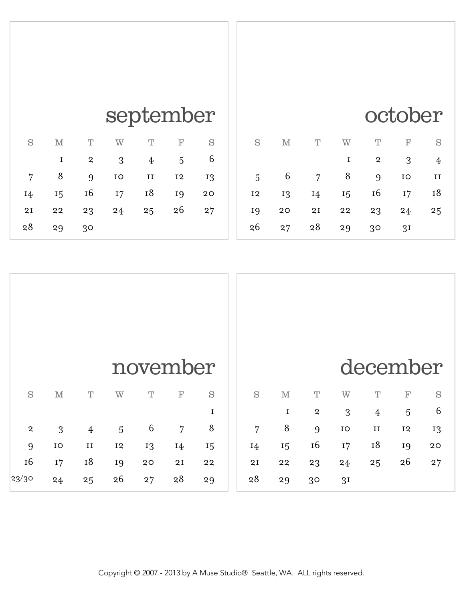#### october

| S  | M  | T  | W  | T              | F              | S  |
|----|----|----|----|----------------|----------------|----|
|    |    |    | 1  | $\overline{a}$ | 3              |    |
| 5  | 6  | 7  | 8  | 9              | IO             | II |
| 12 | 13 | 14 | 15 | 16             | I7             | 18 |
| 19 | 20 | 2I | 22 | 23             | 24             | 25 |
| 26 | 27 | 28 | 29 | 30             | 3 <sup>I</sup> |    |

### september

| S  | M  | T              | W  | Ͳ       | $_{\rm F}$ | S  |
|----|----|----------------|----|---------|------------|----|
|    | 1  | $\overline{a}$ | 3  | 4       | 5          | 6  |
| 7  | 8  | 9              | IO | $_{II}$ | <b>I2</b>  | 13 |
| 14 | 15 | 16             | 17 | 18      | 19         | 20 |
| 2I | 22 | 23             | 24 | 25      | 26         | 27 |
| 28 | 29 | 30             |    |         |            |    |

|                |             |                |                |             | november       |    |                |             |             |                | december       |                |             |
|----------------|-------------|----------------|----------------|-------------|----------------|----|----------------|-------------|-------------|----------------|----------------|----------------|-------------|
| S              | $\mathbb M$ | $\mathbf T$    | W              | $\mathbf T$ | $\mathbf{F}$   | S  | S              | $\mathbb M$ | $\mathbf T$ | W              | $\mathbf T$    | $\mathbf{F}$   | $\mathbf S$ |
|                |             |                |                |             |                | I  |                | $\mathbf I$ | $\mathbf 2$ | 3              | $\overline{4}$ | $\overline{5}$ | 6           |
| $\overline{a}$ | 3           | $\overline{4}$ | $\overline{5}$ | 6           | $\overline{7}$ | 8  | $\overline{7}$ | 8           | 9           | $\rm IO$       | $\;$ II        | <b>I2</b>      | 13          |
| 9              | ${\rm IO}$  | $\rm II$       | <b>I2</b>      | 13          | 14             | 15 | 14             | 15          | <b>16</b>   | 17             | 18             | 19             | 20          |
| 16             | 17          | $^{\rm I8}$    | 19             | $20$        | 2I             | 22 | 2I             | $\bf{22}$   | 23          | 24             | 25             | 26             | 27          |
| 23/30          | 24          | 25             | 26             | 27          | 28             | 29 | 28             | 29          | 30          | 3 <sub>I</sub> |                |                |             |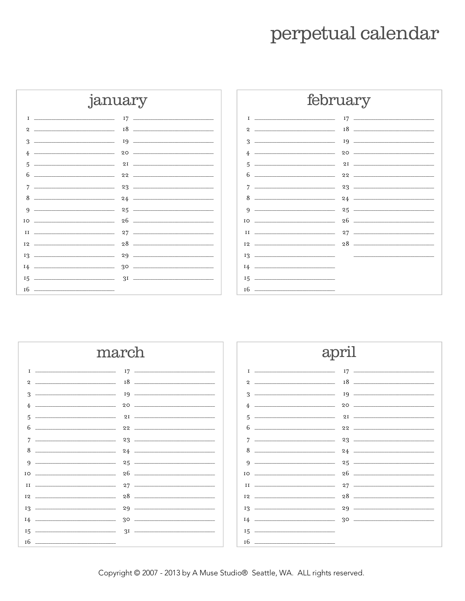#### perpetual calendar







Copyright © 2007 - 2013 by A Muse Studio® Seattle, WA. ALL rights reserved.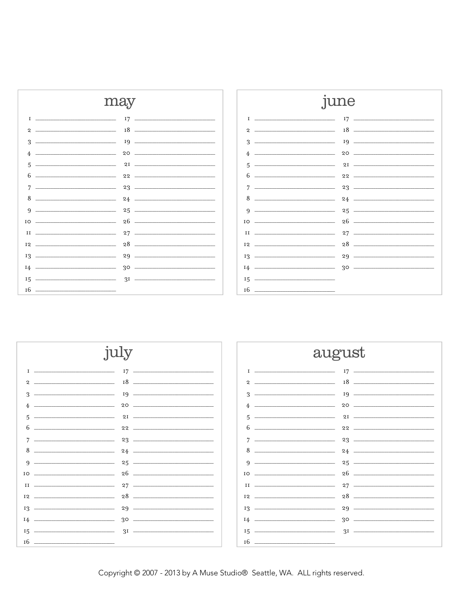

|           |                                                                                                                      | une                            |
|-----------|----------------------------------------------------------------------------------------------------------------------|--------------------------------|
| т         |                                                                                                                      | $17 \quad -$                   |
| 2         | <u> Alexandria de la contrada de la contrada de la contrada de la contrada de la contrada de la contrada de la c</u> | $18$ $\overline{\phantom{a}}$  |
| 3         |                                                                                                                      |                                |
| 4         |                                                                                                                      |                                |
| 5         |                                                                                                                      | $2I$ $\longrightarrow$         |
| 6         | the contract of the contract of the contract of the contract of the contract of                                      | $22 \frac{1}{2}$               |
| 7         | <u> 1989 - Johann Barbara, martin da kasar Amerikaansk filosof</u>                                                   | $23 -$                         |
| 8         | <u> 1980 - John Stein, Amerikaansk politiker (</u>                                                                   | $24$ - $\overline{\phantom{}}$ |
| 9         | <u> 1989 - Johann Barbara, martin amerikan ba</u>                                                                    |                                |
| IO        |                                                                                                                      |                                |
| II        |                                                                                                                      | $27$ $-$                       |
| <b>I2</b> | the contract of the contract of the contract of the contract of the contract of                                      |                                |
|           | $13 \overline{\phantom{a}13}$                                                                                        | $29$ $-$                       |
| 14        |                                                                                                                      |                                |
| 15        |                                                                                                                      |                                |
| <b>T6</b> |                                                                                                                      |                                |



Copyright @ 2007 - 2013 by A Muse Studio® Seattle, WA. ALL rights reserved.